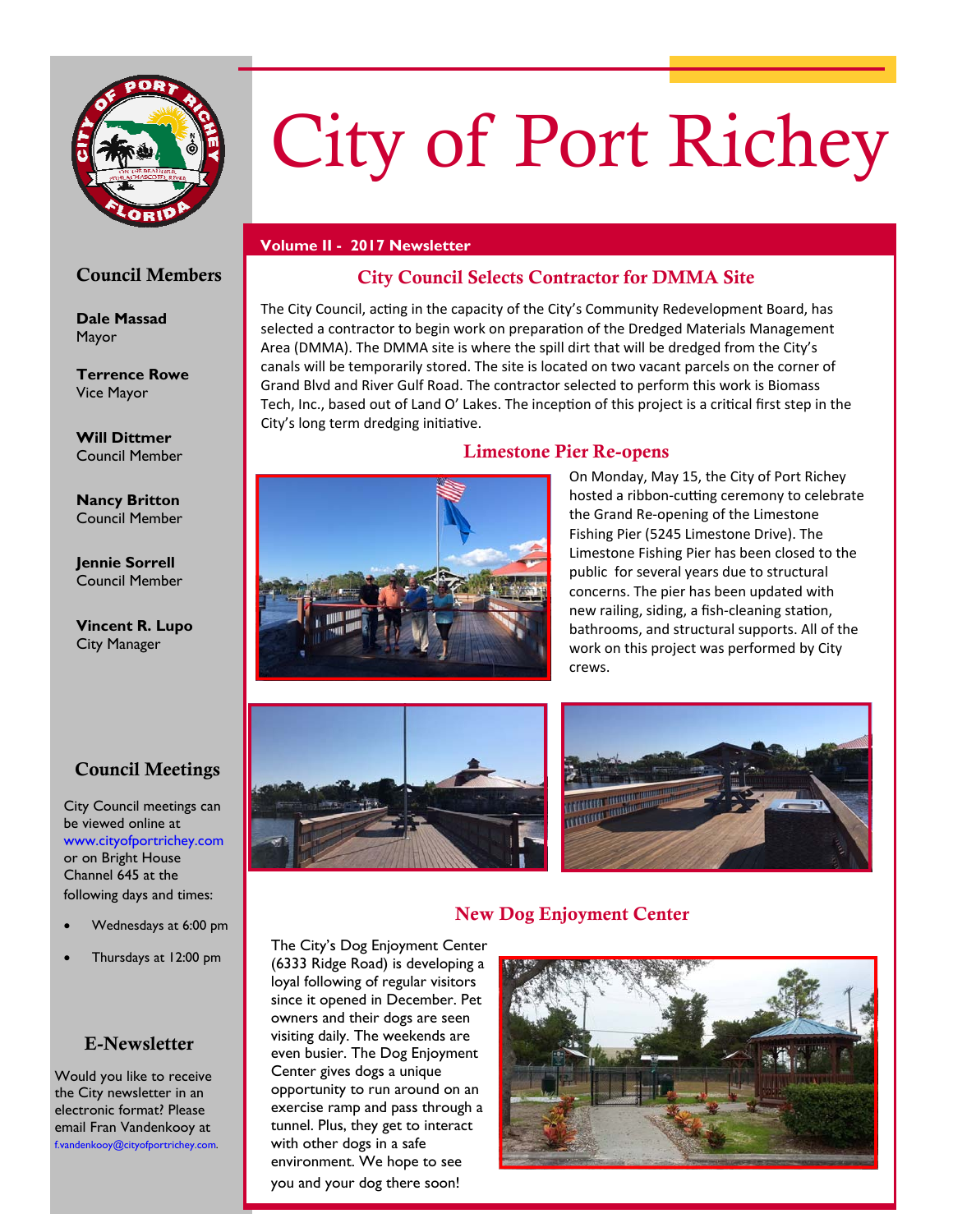

# City of Port Richey

#### **Volume II - 2017 Newsletter**

# Council Members

**Dale Massad**  Mayor

**Terrence Rowe**  Vice Mayor

**Will Dittmer**  Council Member

**Nancy Britton**  Council Member

**Jennie Sorrell**  Council Member

**Vincent R. Lupo**  City Manager

# Council Meetings

City Council meetings can be viewed online at www.cityofportrichey.com or on Bright House Channel 645 at the following days and times:

- Wednesdays at 6:00 pm
- Thursdays at 12:00 pm

# E-Newsletter

Would you like to receive the City newsletter in an electronic format? Please email Fran Vandenkooy at f.vandenkooy@cityofportrichey.com.

# City Council Selects Contractor for DMMA Site

The City Council, acting in the capacity of the City's Community Redevelopment Board, has selected a contractor to begin work on preparation of the Dredged Materials Management Area (DMMA). The DMMA site is where the spill dirt that will be dredged from the City's canals will be temporarily stored. The site is located on two vacant parcels on the corner of Grand Blvd and River Gulf Road. The contractor selected to perform this work is Biomass Tech, Inc., based out of Land O' Lakes. The inception of this project is a critical first step in the City's long term dredging initiative.

# Limestone Pier Re-opens



On Monday, May 15, the City of Port Richey hosted a ribbon-cutting ceremony to celebrate the Grand Re‐opening of the Limestone Fishing Pier (5245 Limestone Drive). The Limestone Fishing Pier has been closed to the public for several years due to structural concerns. The pier has been updated with new railing, siding, a fish-cleaning station, bathrooms, and structural supports. All of the work on this project was performed by City crews.





# New Dog Enjoyment Center

The City's Dog Enjoyment Center (6333 Ridge Road) is developing a loyal following of regular visitors since it opened in December. Pet owners and their dogs are seen visiting daily. The weekends are even busier. The Dog Enjoyment Center gives dogs a unique opportunity to run around on an exercise ramp and pass through a tunnel. Plus, they get to interact with other dogs in a safe environment. We hope to see you and your dog there soon!

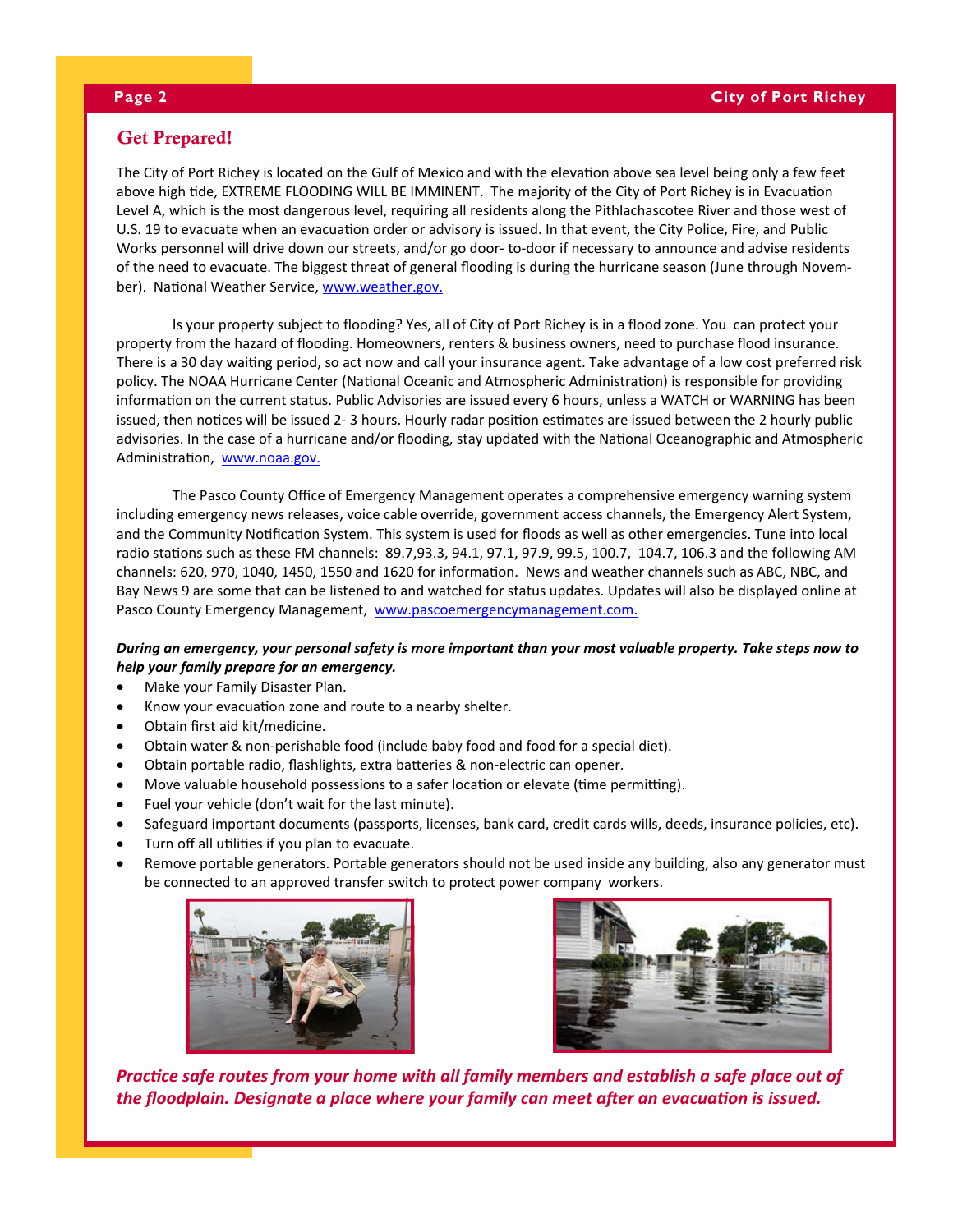## Get Prepared!

The City of Port Richey is located on the Gulf of Mexico and with the elevation above sea level being only a few feet above high tide, EXTREME FLOODING WILL BE IMMINENT. The majority of the City of Port Richey is in Evacuation Level A, which is the most dangerous level, requiring all residents along the Pithlachascotee River and those west of U.S. 19 to evacuate when an evacuation order or advisory is issued. In that event, the City Police, Fire, and Public Works personnel will drive down our streets, and/or go door- to-door if necessary to announce and advise residents of the need to evacuate. The biggest threat of general flooding is during the hurricane season (June through Novem‐ ber). National Weather Service, www.weather.gov.

Is your property subject to flooding? Yes, all of City of Port Richey is in a flood zone. You can protect your property from the hazard of flooding. Homeowners, renters & business owners, need to purchase flood insurance. There is a 30 day waiting period, so act now and call your insurance agent. Take advantage of a low cost preferred risk policy. The NOAA Hurricane Center (National Oceanic and Atmospheric Administration) is responsible for providing information on the current status. Public Advisories are issued every 6 hours, unless a WATCH or WARNING has been issued, then notices will be issued 2- 3 hours. Hourly radar position estimates are issued between the 2 hourly public advisories. In the case of a hurricane and/or flooding, stay updated with the National Oceanographic and Atmospheric Administration, www.noaa.gov.

The Pasco County Office of Emergency Management operates a comprehensive emergency warning system including emergency news releases, voice cable override, government access channels, the Emergency Alert System, and the Community Notification System. This system is used for floods as well as other emergencies. Tune into local radio stations such as these FM channels: 89.7,93.3, 94.1, 97.1, 97.9, 99.5, 100.7, 104.7, 106.3 and the following AM channels: 620, 970, 1040, 1450, 1550 and 1620 for information. News and weather channels such as ABC, NBC, and Bay News 9 are some that can be listened to and watched for status updates. Updates will also be displayed online at Pasco County Emergency Management, www.pascoemergencymanagement.com.

#### During an emergency, your personal safety is more important than your most valuable property. Take steps now to *help your family prepare for an emergency.*

- Make your Family Disaster Plan.
- Know your evacuation zone and route to a nearby shelter.
- Obtain first aid kit/medicine.
- Obtain water & non‐perishable food (include baby food and food for a special diet).
- Obtain portable radio, flashlights, extra batteries & non-electric can opener.
- Move valuable household possessions to a safer location or elevate (time permitting).
- Fuel your vehicle (don't wait for the last minute).
- Safeguard important documents (passports, licenses, bank card, credit cards wills, deeds, insurance policies, etc).
- Turn off all utilities if you plan to evacuate.
- Remove portable generators. Portable generators should not be used inside any building, also any generator must be connected to an approved transfer switch to protect power company workers.





Practice safe routes from your home with all family members and establish a safe place out of the floodplain. Designate a place where your family can meet after an evacuation is issued.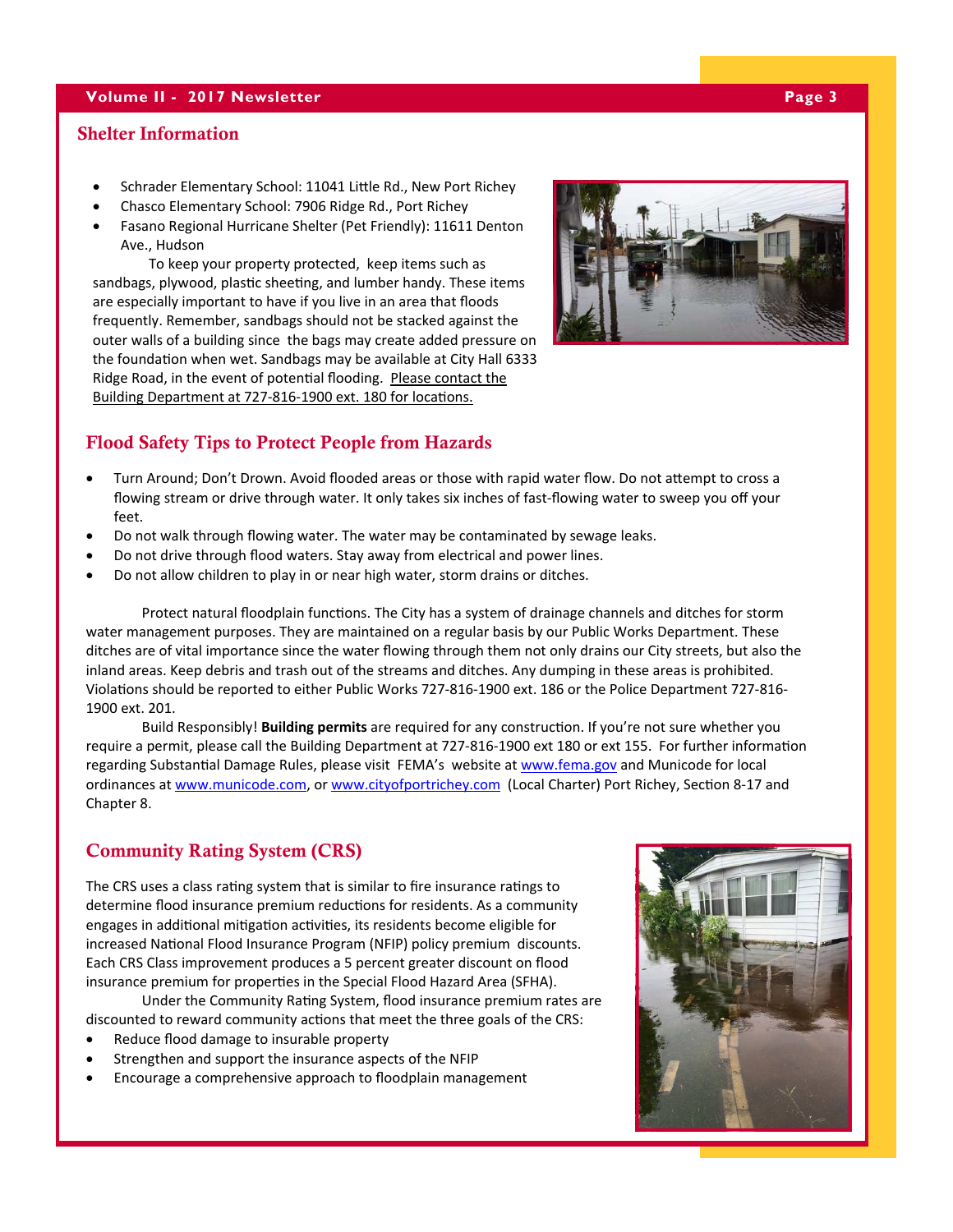#### **Volume II - 2017 Newsletter Page 3 Page 3**

#### Shelter Information

- Schrader Elementary School: 11041 Little Rd., New Port Richey
- Chasco Elementary School: 7906 Ridge Rd., Port Richey
- Fasano Regional Hurricane Shelter (Pet Friendly): 11611 Denton Ave., Hudson

To keep your property protected, keep items such as sandbags, plywood, plastic sheeting, and lumber handy. These items are especially important to have if you live in an area that floods frequently. Remember, sandbags should not be stacked against the outer walls of a building since the bags may create added pressure on the foundation when wet. Sandbags may be available at City Hall 6333 Ridge Road, in the event of potential flooding. Please contact the Building Department at 727-816-1900 ext. 180 for locations.



#### Flood Safety Tips to Protect People from Hazards

- Turn Around; Don't Drown. Avoid flooded areas or those with rapid water flow. Do not attempt to cross a flowing stream or drive through water. It only takes six inches of fast-flowing water to sweep you off your feet.
- Do not walk through flowing water. The water may be contaminated by sewage leaks.
- Do not drive through flood waters. Stay away from electrical and power lines.
- Do not allow children to play in or near high water, storm drains or ditches.

Protect natural floodplain functions. The City has a system of drainage channels and ditches for storm water management purposes. They are maintained on a regular basis by our Public Works Department. These ditches are of vital importance since the water flowing through them not only drains our City streets, but also the inland areas. Keep debris and trash out of the streams and ditches. Any dumping in these areas is prohibited. Violations should be reported to either Public Works 727-816-1900 ext. 186 or the Police Department 727-816-1900 ext. 201.

Build Responsibly! **Building permits** are required for any construction. If you're not sure whether you require a permit, please call the Building Department at 727-816-1900 ext 180 or ext 155. For further information regarding Substantial Damage Rules, please visit FEMA's website at www.fema.gov and Municode for local ordinances at www.municode.com, or www.cityofportrichey.com (Local Charter) Port Richey, Section 8-17 and Chapter 8.

## Community Rating System (CRS)

The CRS uses a class rating system that is similar to fire insurance ratings to determine flood insurance premium reductions for residents. As a community engages in additional mitigation activities, its residents become eligible for increased National Flood Insurance Program (NFIP) policy premium discounts. Each CRS Class improvement produces a 5 percent greater discount on flood insurance premium for properties in the Special Flood Hazard Area (SFHA).

Under the Community Rating System, flood insurance premium rates are discounted to reward community actions that meet the three goals of the CRS:

- Reduce flood damage to insurable property
- Strengthen and support the insurance aspects of the NFIP
- Encourage a comprehensive approach to floodplain management